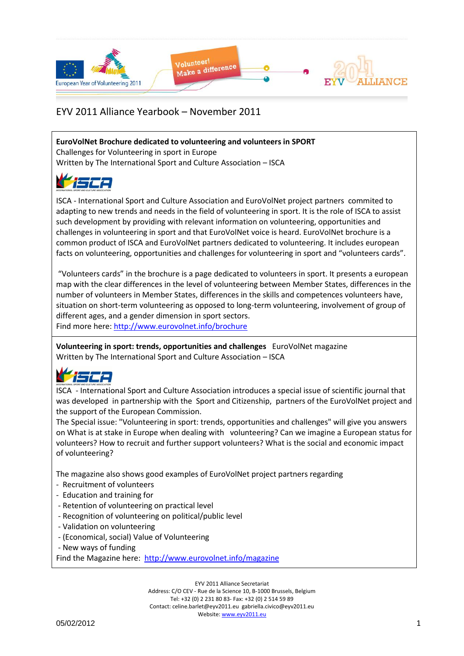

**EuroVolNet Brochure dedicated to volunteering and volunteers in SPORT**

Challenges for Volunteering in sport in Europe Written by The International Sport and Culture Association – ISCA

ISCA - International Sport and Culture Association and EuroVolNet project partners commited to adapting to new trends and needs in the field of volunteering in sport. It is the role of ISCA to assist such development by providing with relevant information on volunteering, opportunities and challenges in volunteering in sport and that EuroVolNet voice is heard. EuroVolNet brochure is a common product of ISCA and EuroVolNet partners dedicated to volunteering. It includes european facts on volunteering, opportunities and challenges for volunteering in sport and "volunteers cards".

"Volunteers cards" in the brochure is a page dedicated to volunteers in sport. It presents a european map with the clear differences in the level of volunteering between Member States, differences in the number of volunteers in Member States, differences in the skills and competences volunteers have, situation on short-term volunteering as opposed to long-term volunteering, involvement of group of different ages, and a gender dimension in sport sectors. Find more here:<http://www.eurovolnet.info/brochure>

**Volunteering in sport: trends, opportunities and challenges** EuroVolNet magazine Written by The International Sport and Culture Association – ISCA

# اعتصا

ISCA - International Sport and Culture Association introduces a special issue of scientific journal that was developed in partnership with the Sport and Citizenship, partners of the EuroVolNet project and the support of the European Commission.

The Special issue: "Volunteering in sport: trends, opportunities and challenges" will give you answers on What is at stake in Europe when dealing with volunteering? Can we imagine a European status for volunteers? How to recruit and further support volunteers? What is the social and economic impact of volunteering?

The magazine also shows good examples of EuroVolNet project partners regarding

- Recruitment of volunteers
- Education and training for
- Retention of volunteering on practical level
- Recognition of volunteering on political/public level
- Validation on volunteering
- (Economical, social) Value of Volunteering
- New ways of funding

Find the Magazine here: <http://www.eurovolnet.info/magazine>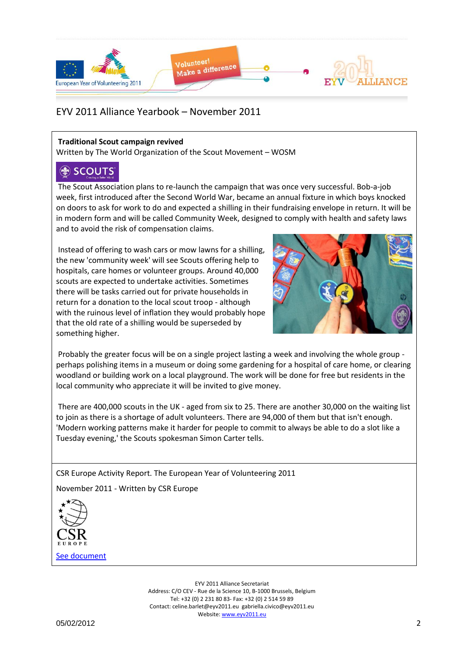

#### **Traditional Scout campaign revived**

Written by The World Organization of the Scout Movement – WOSM

### **SCOUTS**

The Scout Association plans to re-launch the campaign that was once very successful. Bob-a-job week, first introduced after the Second World War, became an annual fixture in which boys knocked on doors to ask for work to do and expected a shilling in their fundraising envelope in return. It will be in modern form and will be called Community Week, designed to comply with health and safety laws and to avoid the risk of compensation claims.

Instead of offering to wash cars or mow lawns for a shilling, the new 'community week' will see Scouts offering help to hospitals, care homes or volunteer groups. Around 40,000 scouts are expected to undertake activities. Sometimes there will be tasks carried out for private households in return for a donation to the local scout troop - although with the ruinous level of inflation they would probably hope that the old rate of a shilling would be superseded by something higher.



Probably the greater focus will be on a single project lasting a week and involving the whole group perhaps polishing items in a museum or doing some gardening for a hospital of care home, or clearing woodland or building work on a local playground. The work will be done for free but residents in the local community who appreciate it will be invited to give money.

There are 400,000 scouts in the UK - aged from six to 25. There are another 30,000 on the waiting list to join as there is a shortage of adult volunteers. There are 94,000 of them but that isn't enough. 'Modern working patterns make it harder for people to commit to always be able to do a slot like a Tuesday evening,' the Scouts spokesman Simon Carter tells.

CSR Europe Activity Report. The European Year of Volunteering 2011

November 2011 - Written by CSR Europe

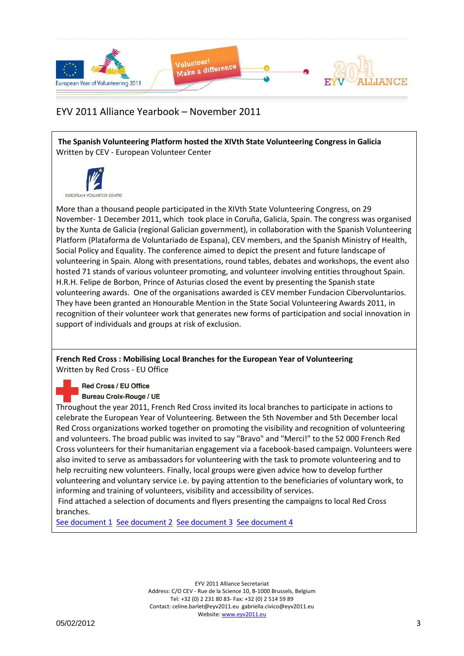

**The Spanish Volunteering Platform hosted the XIVth State Volunteering Congress in Galicia** Written by CEV - European Volunteer Center



More than a thousand people participated in the XIVth State Volunteering Congress, on 29 November- 1 December 2011, which took place in Coruña, Galicia, Spain. The congress was organised by the Xunta de Galicia (regional Galician government), in collaboration with the Spanish Volunteering Platform (Plataforma de Voluntariado de Espana), CEV members, and the Spanish Ministry of Health, Social Policy and Equality. The conference aimed to depict the present and future landscape of volunteering in Spain. Along with presentations, round tables, debates and workshops, the event also hosted 71 stands of various volunteer promoting, and volunteer involving entities throughout Spain. H.R.H. Felipe de Borbon, Prince of Asturias closed the event by presenting the Spanish state volunteering awards. One of the organisations awarded is CEV member Fundacion Cibervoluntarios. They have been granted an Honourable Mention in the State Social Volunteering Awards 2011, in recognition of their volunteer work that generates new forms of participation and social innovation in support of individuals and groups at risk of exclusion.

**French Red Cross : Mobilising Local Branches for the European Year of Volunteering** Written by Red Cross - EU Office

Red Cross / EU Office

**Bureau Croix-Rouge / UE** 

Throughout the year 2011, French Red Cross invited its local branches to participate in actions to celebrate the European Year of Volunteering. Between the 5th November and 5th December local Red Cross organizations worked together on promoting the visibility and recognition of volunteering and volunteers. The broad public was invited to say "Bravo" and "Merci!" to the 52 000 French Red Cross volunteers for their humanitarian engagement via a facebook-based campaign. Volunteers were also invited to serve as ambassadors for volunteering with the task to promote volunteering and to help recruiting new volunteers. Finally, local groups were given advice how to develop further volunteering and voluntary service i.e. by paying attention to the beneficiaries of voluntary work, to informing and training of volunteers, visibility and accessibility of services.

Find attached a selection of documents and flyers presenting the campaigns to local Red Cross branches.

[See document 1](Yearbook_Nov2011_Docs/5_dc_retenez_cette_date_RedCrossEUOffice.pdf) [See document 2](Yearbook_Nov2011_Docs/LES_10_REPERES_RedCrossEUOffice.pdf) [See document 3](Yearbook_Nov2011_Docs/devenez_ambassadeurs_RedCrossEUOffice.pdf) [See document 4](Yearbook_Nov2011_Docs/devenez_modle_RedCrossEUOffice.pdf)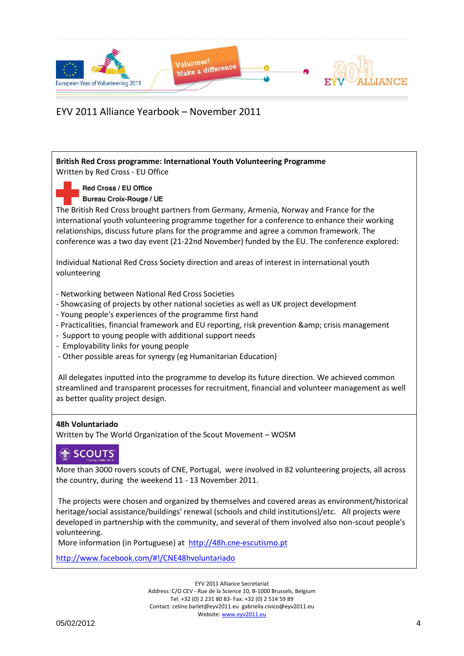

**British Red Cross programme: International Youth Volunteering Programme** Written by Red Cross - EU Office Red Cross / EU Office **Bureau Croix-Rouge / UE** The British Red Cross brought partners from Germany, Armenia, Norway and France for the international youth volunteering programme together for a conference to enhance their working relationships, discuss future plans for the programme and agree a common framework. The conference was a two day event (21-22nd November) funded by the EU. The conference explored: Individual National Red Cross Society direction and areas of interest in international youth volunteering - Networking between National Red Cross Societies - Showcasing of projects by other national societies as well as UK project development - Young people's experiences of the programme first hand - Practicalities, financial framework and EU reporting, risk prevention & amp; crisis management - Support to young people with additional support needs - Employability links for young people - Other possible areas for synergy (eg Humanitarian Education) All delegates inputted into the programme to develop its future direction. We achieved common streamlined and transparent processes for recruitment, financial and volunteer management as well as better quality project design. **48h Voluntariado**  Written by The World Organization of the Scout Movement – WOSM

## SCOUTS

More than 3000 rovers scouts of CNE, Portugal, were involved in 82 volunteering projects, all across the country, during the weekend 11 - 13 November 2011.

The projects were chosen and organized by themselves and covered areas as environment/historical heritage/social assistance/buildings' renewal (schools and child institutions)/etc. All projects were developed in partnership with the community, and several of them involved also non-scout people's volunteering.

More information (in Portuguese) at [http://48h.cne-escutismo.pt](http://48h.cne-escutismo.pt/)

<http://www.facebook.com/#!/CNE48hvoluntariado>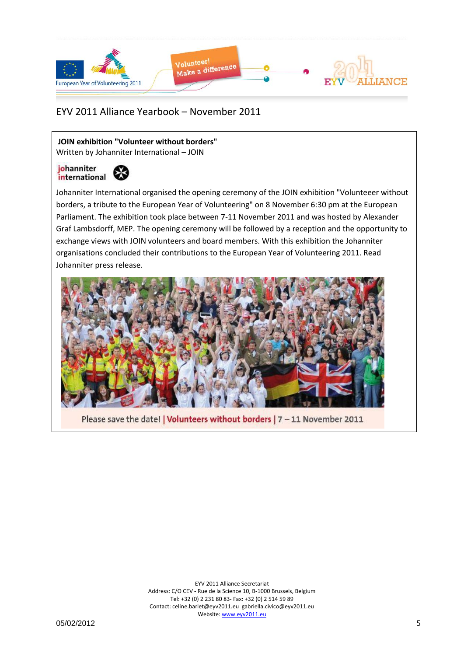

**JOIN exhibition "Volunteer without borders"** Written by Johanniter International – JOIN

#### johanniter ₩ international

Johanniter International organised the opening ceremony of the JOIN exhibition "Volunteeer without borders, a tribute to the European Year of Volunteering" on 8 November 6:30 pm at the European Parliament. The exhibition took place between 7-11 November 2011 and was hosted by Alexander Graf Lambsdorff, MEP. The opening ceremony will be followed by a reception and the opportunity to exchange views with JOIN volunteers and board members. With this exhibition the Johanniter organisations concluded their contributions to the European Year of Volunteering 2011. Read Johanniter press release.



Please save the date! | Volunteers without borders | 7 - 11 November 2011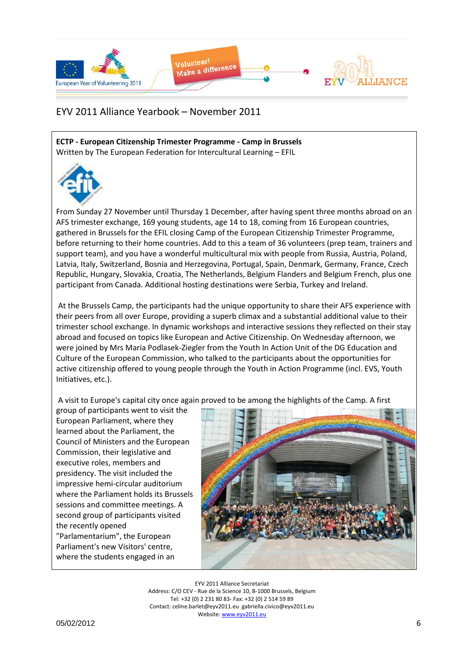

**ECTP - European Citizenship Trimester Programme - Camp in Brussels**  Written by The European Federation for Intercultural Learning – EFIL



From Sunday 27 November until Thursday 1 December, after having spent three months abroad on an AFS trimester exchange, 169 young students, age 14 to 18, coming from 16 European countries, gathered in Brussels for the EFIL closing Camp of the European Citizenship Trimester Programme, before returning to their home countries. Add to this a team of 36 volunteers (prep team, trainers and support team), and you have a wonderful multicultural mix with people from Russia, Austria, Poland, Latvia, Italy, Switzerland, Bosnia and Herzegovina, Portugal, Spain, Denmark, Germany, France, Czech Republic, Hungary, Slovakia, Croatia, The Netherlands, Belgium Flanders and Belgium French, plus one participant from Canada. Additional hosting destinations were Serbia, Turkey and Ireland.

At the Brussels Camp, the participants had the unique opportunity to share their AFS experience with their peers from all over Europe, providing a superb climax and a substantial additional value to their trimester school exchange. In dynamic workshops and interactive sessions they reflected on their stay abroad and focused on topics like European and Active Citizenship. On Wednesday afternoon, we were joined by Mrs Maria Podlasek-Ziegler from the Youth In Action Unit of the DG Education and Culture of the European Commission, who talked to the participants about the opportunities for active citizenship offered to young people through the Youth in Action Programme (incl. EVS, Youth Initiatives, etc.).

A visit to Europe's capital city once again proved to be among the highlights of the Camp. A first

group of participants went to visit the European Parliament, where they learned about the Parliament, the Council of Ministers and the European Commission, their legislative and executive roles, members and presidency. The visit included the impressive hemi-circular auditorium where the Parliament holds its Brussels sessions and committee meetings. A second group of participants visited the recently opened "Parlamentarium", the European Parliament's new Visitors' centre, where the students engaged in an